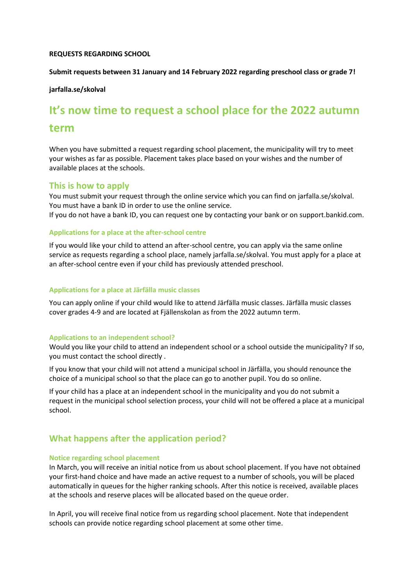### **REQUESTS REGARDING SCHOOL**

### **Submit requests between 31 January and 14 February 2022 regarding preschool class or grade 7!**

### **jarfalla.se/skolval**

# **It's now time to request a school place for the 2022 autumn term**

When you have submitted a request regarding school placement, the municipality will try to meet your wishes as far as possible. Placement takes place based on your wishes and the number of available places at the schools.

### **This is how to apply**

You must submit your request through the online service which you can find on jarfalla.se/skolval. You must have a bank ID in order to use the online service. If you do not have a bank ID, you can request one by contacting your bank or on support.bankid.com.

### **Applications for a place at the after-school centre**

If you would like your child to attend an after-school centre, you can apply via the same online service as requests regarding a school place, namely jarfalla.se/skolval. You must apply for a place at an after-school centre even if your child has previously attended preschool.

### **Applications for a place at Järfälla music classes**

You can apply online if your child would like to attend Järfälla music classes. Järfälla music classes cover grades 4-9 and are located at Fjällenskolan as from the 2022 autumn term.

### **Applications to an independent school?**

Would you like your child to attend an independent school or a school outside the municipality? If so, you must contact the school directly .

If you know that your child will not attend a municipal school in Järfälla, you should renounce the choice of a municipal school so that the place can go to another pupil. You do so online.

If your child has a place at an independent school in the municipality and you do not submit a request in the municipal school selection process, your child will not be offered a place at a municipal school.

# **What happens after the application period?**

### **Notice regarding school placement**

In March, you will receive an initial notice from us about school placement. If you have not obtained your first-hand choice and have made an active request to a number of schools, you will be placed automatically in queues for the higher ranking schools. After this notice is received, available places at the schools and reserve places will be allocated based on the queue order.

In April, you will receive final notice from us regarding school placement. Note that independent schools can provide notice regarding school placement at some other time.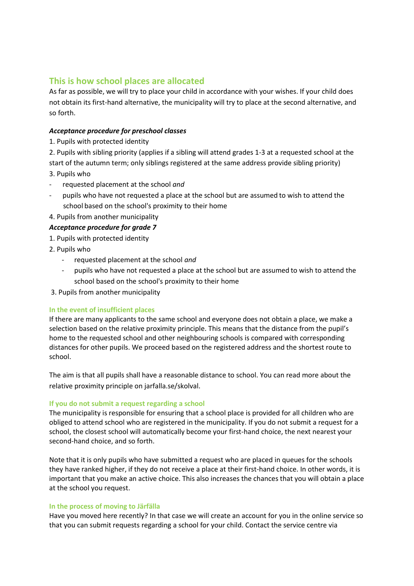# **This is how school places are allocated**

As far as possible, we will try to place your child in accordance with your wishes. If your child does not obtain its first-hand alternative, the municipality will try to place at the second alternative, and so forth.

# *Acceptance procedure for preschool classes*

1. Pupils with protected identity

2. Pupils with sibling priority (applies if a sibling will attend grades 1-3 at a requested school at the start of the autumn term; only siblings registered at the same address provide sibling priority)

- 3. Pupils who
- requested placement at the school *and*
- pupils who have not requested a place at the school but are assumed to wish to attend the school based on the school's proximity to their home
- 4. Pupils from another municipality

# *Acceptance procedure for grade 7*

- 1. Pupils with protected identity
- 2. Pupils who
	- requested placement at the school *and*
	- pupils who have not requested a place at the school but are assumed to wish to attend the school based on the school's proximity to their home
- 3. Pupils from another municipality

# **In the event of insufficient places**

If there are many applicants to the same school and everyone does not obtain a place, we make a selection based on the relative proximity principle. This means that the distance from the pupil's home to the requested school and other neighbouring schools is compared with corresponding distances for other pupils. We proceed based on the registered address and the shortest route to school.

The aim is that all pupils shall have a reasonable distance to school. You can read more about the relative proximity principle on jarfalla.se/skolval.

# **If you do not submit a request regarding a school**

The municipality is responsible for ensuring that a school place is provided for all children who are obliged to attend school who are registered in the municipality. If you do not submit a request for a school, the closest school will automatically become your first-hand choice, the next nearest your second-hand choice, and so forth.

Note that it is only pupils who have submitted a request who are placed in queues for the schools they have ranked higher, if they do not receive a place at their first-hand choice. In other words, it is important that you make an active choice. This also increases the chances that you will obtain a place at the school you request.

# **In the process of moving to Järfälla**

Have you moved here recently? In that case we will create an account for you in the online service so that you can submit requests regarding a school for your child. Contact the service centre via